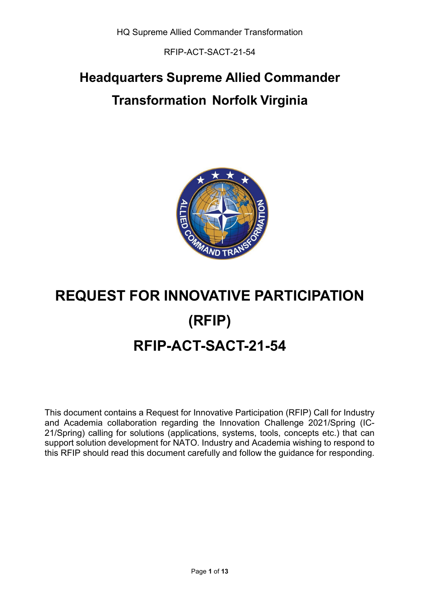RFIP-ACT-SACT-21-54

## **Headquarters Supreme Allied Commander Transformation Norfolk Virginia**



# **REQUEST FOR INNOVATIVE PARTICIPATION (RFIP) RFIP-ACT-SACT-21-54**

This document contains a Request for Innovative Participation (RFIP) Call for Industry and Academia collaboration regarding the Innovation Challenge 2021/Spring (IC-21/Spring) calling for solutions (applications, systems, tools, concepts etc.) that can support solution development for NATO. Industry and Academia wishing to respond to this RFIP should read this document carefully and follow the guidance for responding.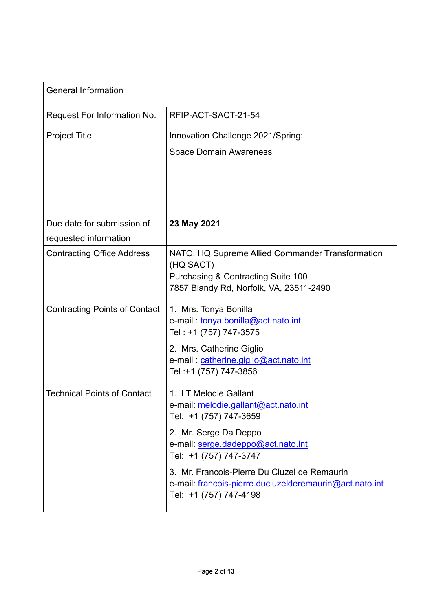| <b>General Information</b>           |                                                                                                                                                                                                                                                                                                                              |
|--------------------------------------|------------------------------------------------------------------------------------------------------------------------------------------------------------------------------------------------------------------------------------------------------------------------------------------------------------------------------|
| Request For Information No.          | RFIP-ACT-SACT-21-54                                                                                                                                                                                                                                                                                                          |
| <b>Project Title</b>                 | Innovation Challenge 2021/Spring:<br><b>Space Domain Awareness</b>                                                                                                                                                                                                                                                           |
| Due date for submission of           | 23 May 2021                                                                                                                                                                                                                                                                                                                  |
| requested information                |                                                                                                                                                                                                                                                                                                                              |
| <b>Contracting Office Address</b>    | NATO, HQ Supreme Allied Commander Transformation<br>(HQ SACT)<br><b>Purchasing &amp; Contracting Suite 100</b><br>7857 Blandy Rd, Norfolk, VA, 23511-2490                                                                                                                                                                    |
| <b>Contracting Points of Contact</b> | 1. Mrs. Tonya Bonilla<br>e-mail: tonya.bonilla@act.nato.int<br>Tel: +1 (757) 747-3575<br>2. Mrs. Catherine Giglio<br>e-mail: catherine.giglio@act.nato.int<br>Tel: +1 (757) 747-3856                                                                                                                                         |
| <b>Technical Points of Contact</b>   | 1. LT Melodie Gallant<br>e-mail: <u>melodie.gallant@act.nato.int</u><br>Tel: +1 (757) 747-3659<br>2. Mr. Serge Da Deppo<br>e-mail: serge.dadeppo@act.nato.int<br>Tel: +1 (757) 747-3747<br>3. Mr. Francois-Pierre Du Cluzel de Remaurin<br>e-mail: francois-pierre.ducluzelderemaurin@act.nato.int<br>Tel: +1 (757) 747-4198 |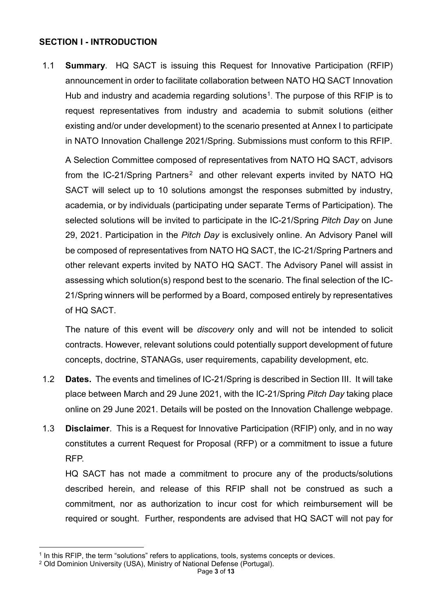## **SECTION I - INTRODUCTION**

1.1 **Summary**. HQ SACT is issuing this Request for Innovative Participation (RFIP) announcement in order to facilitate collaboration between NATO HQ SACT Innovation Hub and industry and academia regarding solutions<sup>1</sup>. The purpose of this RFIP is to request representatives from industry and academia to submit solutions (either existing and/or under development) to the scenario presented at Annex I to participate in NATO Innovation Challenge 2021/Spring. Submissions must conform to this RFIP.

A Selection Committee composed of representatives from NATO HQ SACT, advisors from the IC-[2](#page-2-1)1/Spring Partners<sup>2</sup> and other relevant experts invited by NATO HQ SACT will select up to 10 solutions amongst the responses submitted by industry, academia, or by individuals (participating under separate Terms of Participation). The selected solutions will be invited to participate in the IC-21/Spring *Pitch Day* on June 29, 2021. Participation in the *Pitch Day* is exclusively online. An Advisory Panel will be composed of representatives from NATO HQ SACT, the IC-21/Spring Partners and other relevant experts invited by NATO HQ SACT. The Advisory Panel will assist in assessing which solution(s) respond best to the scenario. The final selection of the IC-21/Spring winners will be performed by a Board, composed entirely by representatives of HQ SACT.

The nature of this event will be *discovery* only and will not be intended to solicit contracts. However, relevant solutions could potentially support development of future concepts, doctrine, STANAGs, user requirements, capability development, etc.

- 1.2 **Dates.** The events and timelines of IC-21/Spring is described in Section III. It will take place between March and 29 June 2021, with the IC-21/Spring *Pitch Day* taking place online on 29 June 2021. Details will be posted on the Innovation Challenge webpage.
- 1.3 **Disclaimer**. This is a Request for Innovative Participation (RFIP) only, and in no way constitutes a current Request for Proposal (RFP) or a commitment to issue a future RFP.

HQ SACT has not made a commitment to procure any of the products/solutions described herein, and release of this RFIP shall not be construed as such a commitment, nor as authorization to incur cost for which reimbursement will be required or sought. Further, respondents are advised that HQ SACT will not pay for

 $\overline{a}$ 

<span id="page-2-0"></span><sup>1</sup> In this RFIP, the term "solutions" refers to applications, tools, systems concepts or devices.

<span id="page-2-1"></span><sup>2</sup> Old Dominion University (USA), Ministry of National Defense (Portugal).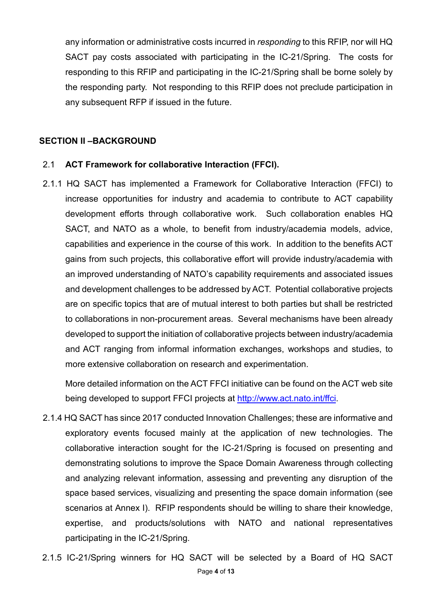any information or administrative costs incurred in *responding* to this RFIP, nor will HQ SACT pay costs associated with participating in the IC-21/Spring. The costs for responding to this RFIP and participating in the IC-21/Spring shall be borne solely by the responding party. Not responding to this RFIP does not preclude participation in any subsequent RFP if issued in the future.

#### **SECTION II –BACKGROUND**

#### 2.1 **ACT Framework for collaborative Interaction (FFCI).**

2.1.1 HQ SACT has implemented a Framework for Collaborative Interaction (FFCI) to increase opportunities for industry and academia to contribute to ACT capability development efforts through collaborative work. Such collaboration enables HQ SACT, and NATO as a whole, to benefit from industry/academia models, advice, capabilities and experience in the course of this work. In addition to the benefits ACT gains from such projects, this collaborative effort will provide industry/academia with an improved understanding of NATO's capability requirements and associated issues and development challenges to be addressed by ACT. Potential collaborative projects are on specific topics that are of mutual interest to both parties but shall be restricted to collaborations in non-procurement areas. Several mechanisms have been already developed to support the initiation of collaborative projects between industry/academia and ACT ranging from informal information exchanges, workshops and studies, to more extensive collaboration on research and experimentation.

More detailed information on the ACT FFCI initiative can be found on the ACT web site being developed to support FFCI projects at [http://www.act.nato.int/ffci.](http://www.act.nato.int/ffci)

- 2.1.4 HQ SACT has since 2017 conducted Innovation Challenges; these are informative and exploratory events focused mainly at the application of new technologies. The collaborative interaction sought for the IC-21/Spring is focused on presenting and demonstrating solutions to improve the Space Domain Awareness through collecting and analyzing relevant information, assessing and preventing any disruption of the space based services, visualizing and presenting the space domain information (see scenarios at Annex I). RFIP respondents should be willing to share their knowledge, expertise, and products/solutions with NATO and national representatives participating in the IC-21/Spring.
- 2.1.5 IC-21/Spring winners for HQ SACT will be selected by a Board of HQ SACT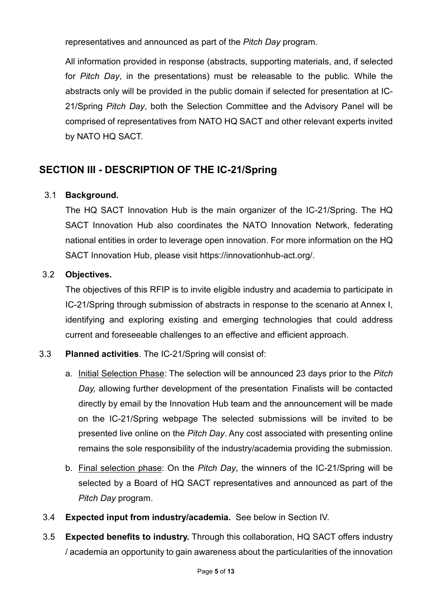representatives and announced as part of the *Pitch Day* program.

All information provided in response (abstracts, supporting materials, and, if selected for *Pitch Day*, in the presentations) must be releasable to the public. While the abstracts only will be provided in the public domain if selected for presentation at IC-21/Spring *Pitch Day*, both the Selection Committee and the Advisory Panel will be comprised of representatives from NATO HQ SACT and other relevant experts invited by NATO HQ SACT.

## **SECTION III - DESCRIPTION OF THE IC-21/Spring**

## 3.1 **Background.**

The HQ SACT Innovation Hub is the main organizer of the IC-21/Spring. The HQ SACT Innovation Hub also coordinates the NATO Innovation Network, federating national entities in order to leverage open innovation. For more information on the HQ SACT Innovation Hub, please visit https://innovationhub-act.org/.

## 3.2 **Objectives.**

The objectives of this RFIP is to invite eligible industry and academia to participate in IC-21/Spring through submission of abstracts in response to the scenario at Annex I, identifying and exploring existing and emerging technologies that could address current and foreseeable challenges to an effective and efficient approach.

## 3.3 **Planned activities**. The IC-21/Spring will consist of:

- a. Initial Selection Phase: The selection will be announced 23 days prior to the *Pitch Day,* allowing further development of the presentation Finalists will be contacted directly by email by the Innovation Hub team and the announcement will be made on the IC-21/Spring webpage The selected submissions will be invited to be presented live online on the *Pitch Day*. Any cost associated with presenting online remains the sole responsibility of the industry/academia providing the submission.
- b. Final selection phase: On the *Pitch Day*, the winners of the IC-21/Spring will be selected by a Board of HQ SACT representatives and announced as part of the *Pitch Day* program.
- 3.4 **Expected input from industry/academia.** See below in Section IV.
- 3.5 **Expected benefits to industry.** Through this collaboration, HQ SACT offers industry / academia an opportunity to gain awareness about the particularities of the innovation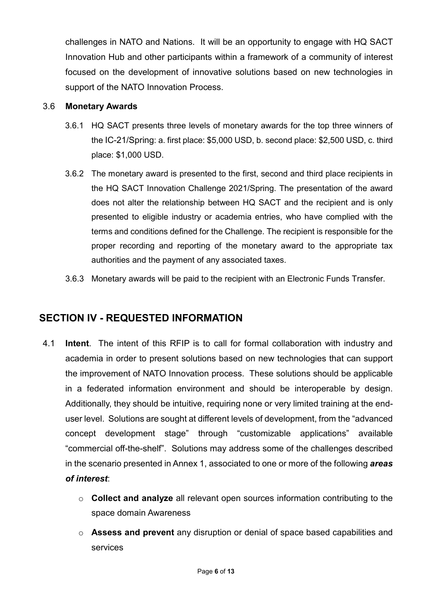challenges in NATO and Nations. It will be an opportunity to engage with HQ SACT Innovation Hub and other participants within a framework of a community of interest focused on the development of innovative solutions based on new technologies in support of the NATO Innovation Process.

#### 3.6 **Monetary Awards**

- 3.6.1 HQ SACT presents three levels of monetary awards for the top three winners of the IC-21/Spring: a. first place: \$5,000 USD, b. second place: \$2,500 USD, c. third place: \$1,000 USD.
- 3.6.2 The monetary award is presented to the first, second and third place recipients in the HQ SACT Innovation Challenge 2021/Spring. The presentation of the award does not alter the relationship between HQ SACT and the recipient and is only presented to eligible industry or academia entries, who have complied with the terms and conditions defined for the Challenge. The recipient is responsible for the proper recording and reporting of the monetary award to the appropriate tax authorities and the payment of any associated taxes.
- 3.6.3 Monetary awards will be paid to the recipient with an Electronic Funds Transfer.

## **SECTION IV - REQUESTED INFORMATION**

- 4.1 **Intent**. The intent of this RFIP is to call for formal collaboration with industry and academia in order to present solutions based on new technologies that can support the improvement of NATO Innovation process. These solutions should be applicable in a federated information environment and should be interoperable by design. Additionally, they should be intuitive, requiring none or very limited training at the enduser level. Solutions are sought at different levels of development, from the "advanced concept development stage" through "customizable applications" available "commercial off-the-shelf". Solutions may address some of the challenges described in the scenario presented in Annex 1, associated to one or more of the following *areas of interest*:
	- o **Collect and analyze** all relevant open sources information contributing to the space domain Awareness
	- o **Assess and prevent** any disruption or denial of space based capabilities and services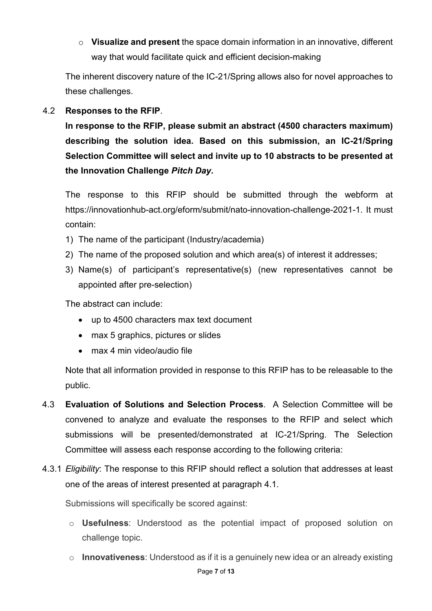o **Visualize and present** the space domain information in an innovative, different way that would facilitate quick and efficient decision-making

The inherent discovery nature of the IC-21/Spring allows also for novel approaches to these challenges.

## 4.2 **Responses to the RFIP**.

**In response to the RFIP, please submit an abstract (4500 characters maximum) describing the solution idea. Based on this submission, an IC-21/Spring Selection Committee will select and invite up to 10 abstracts to be presented at the Innovation Challenge** *Pitch Day***.**

The response to this RFIP should be submitted through the webform at https://innovationhub-act.org/eform/submit/nato-innovation-challenge-2021-1. It must contain:

- 1) The name of the participant (Industry/academia)
- 2) The name of the proposed solution and which area(s) of interest it addresses;
- 3) Name(s) of participant's representative(s) (new representatives cannot be appointed after pre-selection)

The abstract can include:

- up to 4500 characters max text document
- max 5 graphics, pictures or slides
- max 4 min video/audio file

Note that all information provided in response to this RFIP has to be releasable to the public.

- 4.3 **Evaluation of Solutions and Selection Process**. A Selection Committee will be convened to analyze and evaluate the responses to the RFIP and select which submissions will be presented/demonstrated at IC-21/Spring. The Selection Committee will assess each response according to the following criteria:
- 4.3.1 *Eligibility*: The response to this RFIP should reflect a solution that addresses at least one of the areas of interest presented at paragraph 4.1.

Submissions will specifically be scored against:

- o **Usefulness**: Understood as the potential impact of proposed solution on challenge topic.
- o **Innovativeness**: Understood as if it is a genuinely new idea or an already existing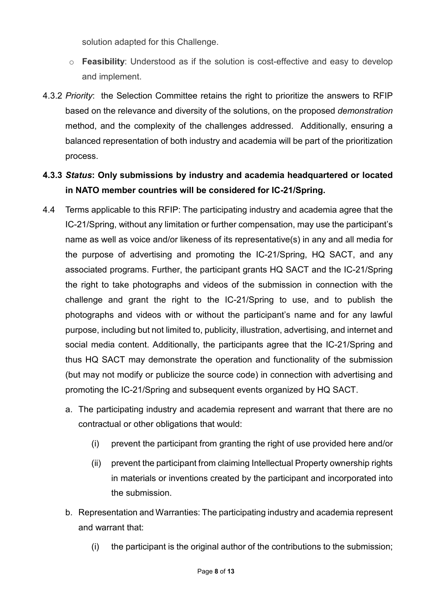solution adapted for this Challenge.

- o **Feasibility**: Understood as if the solution is cost-effective and easy to develop and implement.
- 4.3.2 *Priority*: the Selection Committee retains the right to prioritize the answers to RFIP based on the relevance and diversity of the solutions, on the proposed *demonstration* method, and the complexity of the challenges addressed. Additionally, ensuring a balanced representation of both industry and academia will be part of the prioritization process.

## **4.3.3** *Status***: Only submissions by industry and academia headquartered or located in NATO member countries will be considered for IC-21/Spring.**

- 4.4 Terms applicable to this RFIP: The participating industry and academia agree that the IC-21/Spring, without any limitation or further compensation, may use the participant's name as well as voice and/or likeness of its representative(s) in any and all media for the purpose of advertising and promoting the IC-21/Spring, HQ SACT, and any associated programs. Further, the participant grants HQ SACT and the IC-21/Spring the right to take photographs and videos of the submission in connection with the challenge and grant the right to the IC-21/Spring to use, and to publish the photographs and videos with or without the participant's name and for any lawful purpose, including but not limited to, publicity, illustration, advertising, and internet and social media content. Additionally, the participants agree that the IC-21/Spring and thus HQ SACT may demonstrate the operation and functionality of the submission (but may not modify or publicize the source code) in connection with advertising and promoting the IC-21/Spring and subsequent events organized by HQ SACT.
	- a. The participating industry and academia represent and warrant that there are no contractual or other obligations that would:
		- (i) prevent the participant from granting the right of use provided here and/or
		- (ii) prevent the participant from claiming Intellectual Property ownership rights in materials or inventions created by the participant and incorporated into the submission.
	- b. Representation and Warranties: The participating industry and academia represent and warrant that:
		- (i) the participant is the original author of the contributions to the submission;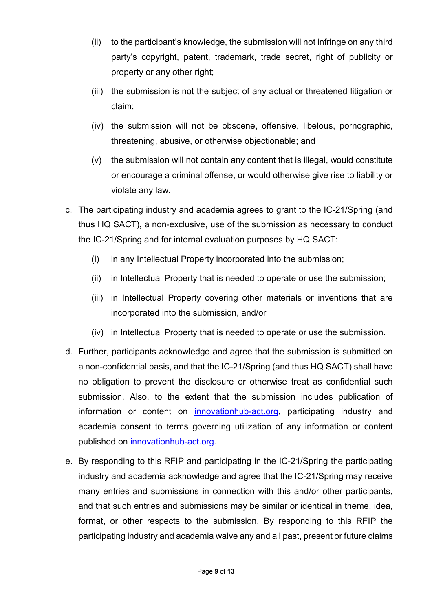- (ii) to the participant's knowledge, the submission will not infringe on any third party's copyright, patent, trademark, trade secret, right of publicity or property or any other right;
- (iii) the submission is not the subject of any actual or threatened litigation or claim;
- (iv) the submission will not be obscene, offensive, libelous, pornographic, threatening, abusive, or otherwise objectionable; and
- (v) the submission will not contain any content that is illegal, would constitute or encourage a criminal offense, or would otherwise give rise to liability or violate any law.
- c. The participating industry and academia agrees to grant to the IC-21/Spring (and thus HQ SACT), a non-exclusive, use of the submission as necessary to conduct the IC-21/Spring and for internal evaluation purposes by HQ SACT:
	- (i) in any Intellectual Property incorporated into the submission;
	- (ii) in Intellectual Property that is needed to operate or use the submission;
	- (iii) in Intellectual Property covering other materials or inventions that are incorporated into the submission, and/or
	- (iv) in Intellectual Property that is needed to operate or use the submission.
- d. Further, participants acknowledge and agree that the submission is submitted on a non-confidential basis, and that the IC-21/Spring (and thus HQ SACT) shall have no obligation to prevent the disclosure or otherwise treat as confidential such submission. Also, to the extent that the submission includes publication of information or content on [innovationhub-act.org,](https://www.innovationhub-act.org/) participating industry and academia consent to terms governing utilization of any information or content published on [innovationhub-act.org.](https://www.innovationhub-act.org/)
- e. By responding to this RFIP and participating in the IC-21/Spring the participating industry and academia acknowledge and agree that the IC-21/Spring may receive many entries and submissions in connection with this and/or other participants, and that such entries and submissions may be similar or identical in theme, idea, format, or other respects to the submission. By responding to this RFIP the participating industry and academia waive any and all past, present or future claims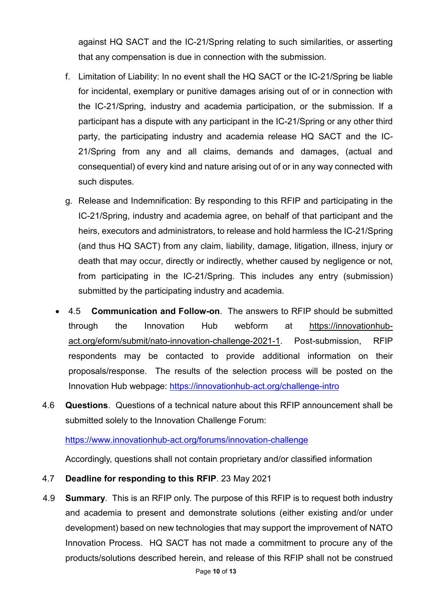against HQ SACT and the IC-21/Spring relating to such similarities, or asserting that any compensation is due in connection with the submission.

- f. Limitation of Liability: In no event shall the HQ SACT or the IC-21/Spring be liable for incidental, exemplary or punitive damages arising out of or in connection with the IC-21/Spring, industry and academia participation, or the submission. If a participant has a dispute with any participant in the IC-21/Spring or any other third party, the participating industry and academia release HQ SACT and the IC-21/Spring from any and all claims, demands and damages, (actual and consequential) of every kind and nature arising out of or in any way connected with such disputes.
- g. Release and Indemnification: By responding to this RFIP and participating in the IC-21/Spring, industry and academia agree, on behalf of that participant and the heirs, executors and administrators, to release and hold harmless the IC-21/Spring (and thus HQ SACT) from any claim, liability, damage, litigation, illness, injury or death that may occur, directly or indirectly, whether caused by negligence or not, from participating in the IC-21/Spring. This includes any entry (submission) submitted by the participating industry and academia.
- 4.5 **Communication and Follow-on**. The answers to RFIP should be submitted through the Innovation Hub webform at https://innovationhubact.org/eform/submit/nato-innovation-challenge-2021-1. Post-submission, RFIP respondents may be contacted to provide additional information on their proposals/response. The results of the selection process will be posted on the Innovation Hub webpage: <https://innovationhub-act.org/challenge-intro>
- 4.6 **Questions**. Questions of a technical nature about this RFIP announcement shall be submitted solely to the Innovation Challenge Forum:

## <https://www.innovationhub-act.org/forums/innovation-challenge>

Accordingly, questions shall not contain proprietary and/or classified information

#### 4.7 **Deadline for responding to this RFIP**. 23 May 2021

4.9 **Summary**. This is an RFIP only. The purpose of this RFIP is to request both industry and academia to present and demonstrate solutions (either existing and/or under development) based on new technologies that may support the improvement of NATO Innovation Process. HQ SACT has not made a commitment to procure any of the products/solutions described herein, and release of this RFIP shall not be construed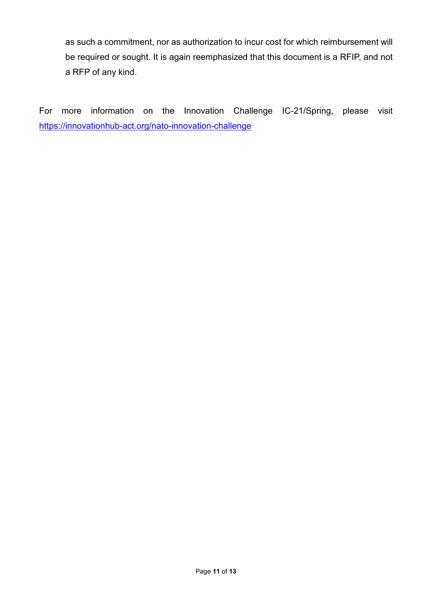as such a commitment, nor as authorization to incur cost for which reimbursement will be required or sought. It is again reemphasized that this document is a RFIP, and not a RFP of any kind.

For more information on the Innovation Challenge IC-21/Spring, please visit <https://innovationhub-act.org/nato-innovation-challenge>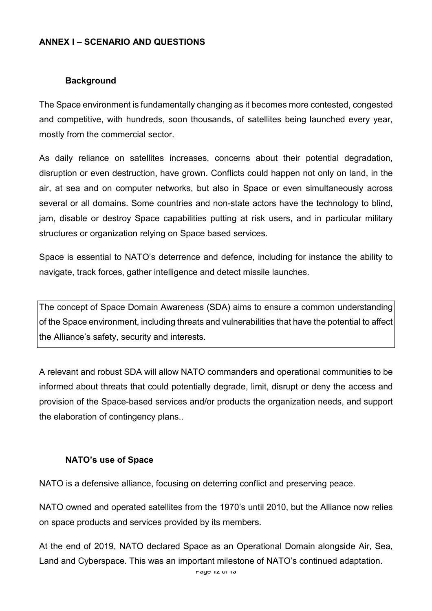## **ANNEX I – SCENARIO AND QUESTIONS**

#### **Background**

The Space environment is fundamentally changing as it becomes more contested, congested and competitive, with hundreds, soon thousands, of satellites being launched every year, mostly from the commercial sector.

As daily reliance on satellites increases, concerns about their potential degradation, disruption or even destruction, have grown. Conflicts could happen not only on land, in the air, at sea and on computer networks, but also in Space or even simultaneously across several or all domains. Some countries and non-state actors have the technology to blind, jam, disable or destroy Space capabilities putting at risk users, and in particular military structures or organization relying on Space based services.

Space is essential to NATO's deterrence and defence, including for instance the ability to navigate, track forces, gather intelligence and detect missile launches.

The concept of Space Domain Awareness (SDA) aims to ensure a common understanding of the Space environment, including threats and vulnerabilities that have the potential to affect the Alliance's safety, security and interests.

A relevant and robust SDA will allow NATO commanders and operational communities to be informed about threats that could potentially degrade, limit, disrupt or deny the access and provision of the Space-based services and/or products the organization needs, and support the elaboration of contingency plans..

#### **NATO's use of Space**

NATO is a defensive alliance, focusing on deterring conflict and preserving peace.

NATO owned and operated satellites from the 1970's until 2010, but the Alliance now relies on space products and services provided by its members.

At the end of 2019, NATO declared Space as an Operational Domain alongside Air, Sea, Land and Cyberspace. This was an important milestone of NATO's continued adaptation.